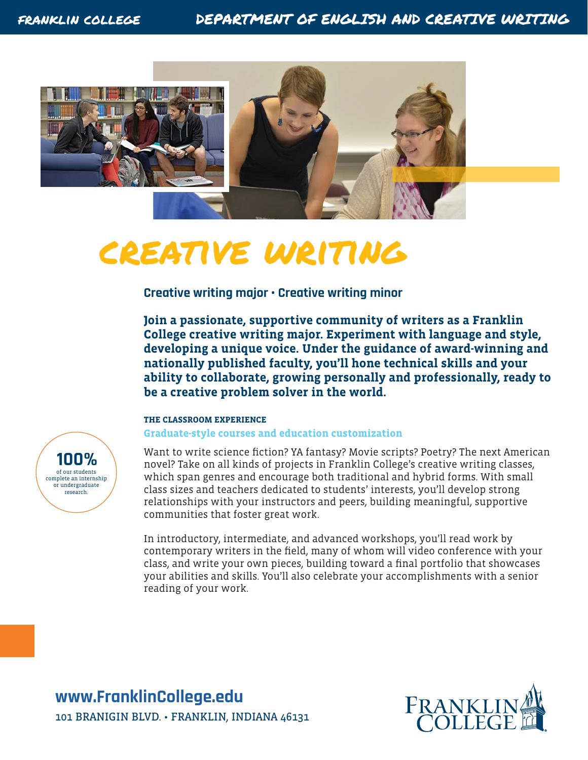

# creative writing

**Creative writing major • Creative writing minor** 

**Join a passionate, supportive community of writers as a Franklin College creative writing major. Experiment with language and style, developing a unique voice. Under the guidance of award-winning and nationally published faculty, you'll hone technical skills and your ability to collaborate, growing personally and professionally, ready to be a creative problem solver in the world.**

### **THE CLASSROOM EXPERIENCE**

**Graduate-style courses and education customization**

Want to write science fiction? YA fantasy? Movie scripts? Poetry? The next American novel? Take on all kinds of projects in Franklin College's creative writing classes, which span genres and encourage both traditional and hybrid forms. With small class sizes and teachers dedicated to students' interests, you'll develop strong relationships with your instructors and peers, building meaningful, supportive communities that foster great work.

In introductory, intermediate, and advanced workshops, you'll read work by contemporary writers in the field, many of whom will video conference with your class, and write your own pieces, building toward a final portfolio that showcases your abilities and skills. You'll also celebrate your accomplishments with a senior reading of your work.

**www.FranklinCollege.edu** 101 BRANIGIN BLVD. • FRANKLIN, INDIANA 46131



of our students complete an internship or undergraduate research. **100%**